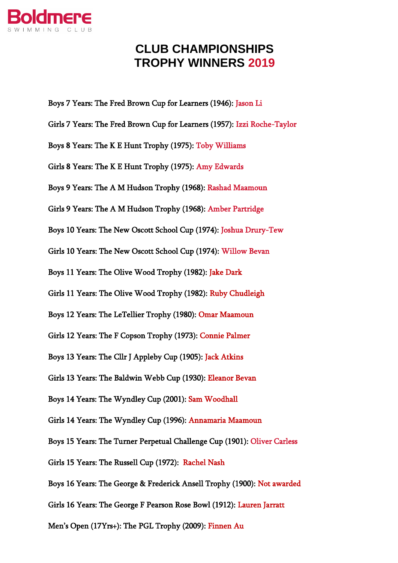

## **CLUB CHAMPIONSHIPS TROPHY WINNERS 2019**

Boys 7 Years: The Fred Brown Cup for Learners (1946): Jason Li Girls 7 Years: The Fred Brown Cup for Learners (1957): Izzi Roche-Taylor Boys 8 Years: The K E Hunt Trophy (1975): Toby Williams Girls 8 Years: The K E Hunt Trophy (1975): Amy Edwards Boys 9 Years: The A M Hudson Trophy (1968): Rashad Maamoun Girls 9 Years: The A M Hudson Trophy (1968): Amber Partridge Boys 10 Years: The New Oscott School Cup (1974): Joshua Drury-Tew Girls 10 Years: The New Oscott School Cup (1974): Willow Bevan Boys 11 Years: The Olive Wood Trophy (1982): Jake Dark Girls 11 Years: The Olive Wood Trophy (1982): Ruby Chudleigh Boys 12 Years: The LeTellier Trophy (1980): Omar Maamoun Girls 12 Years: The F Copson Trophy (1973): Connie Palmer Boys 13 Years: The Cllr J Appleby Cup (1905): Jack Atkins Girls 13 Years: The Baldwin Webb Cup (1930): Eleanor Bevan Boys 14 Years: The Wyndley Cup (2001): Sam Woodhall Girls 14 Years: The Wyndley Cup (1996): Annamaria Maamoun Boys 15 Years: The Turner Perpetual Challenge Cup (1901): Oliver Carless Girls 15 Years: The Russell Cup (1972): Rachel Nash Boys 16 Years: The George & Frederick Ansell Trophy (1900): Not awarded Girls 16 Years: The George F Pearson Rose Bowl (1912): Lauren Jarratt Men's Open (17Yrs+): The PGL Trophy (2009): Finnen Au